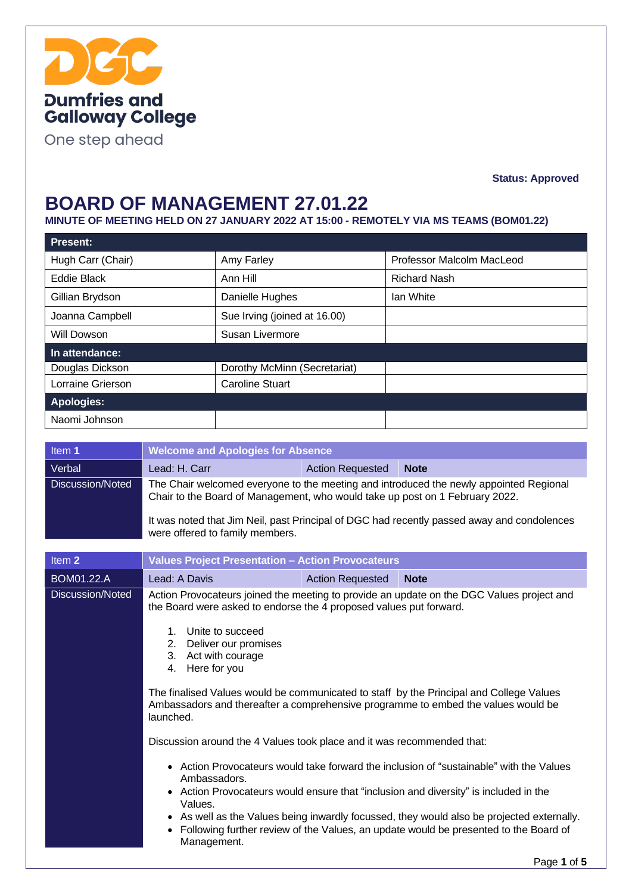

One step ahead

**Status: Approved**

### **BOARD OF MANAGEMENT 27.01.22**

**MINUTE OF MEETING HELD ON 27 JANUARY 2022 AT 15:00 - REMOTELY VIA MS TEAMS (BOM01.22)**

| <b>Present:</b>   |                              |                           |
|-------------------|------------------------------|---------------------------|
| Hugh Carr (Chair) | Amy Farley                   | Professor Malcolm MacLeod |
| Eddie Black       | Ann Hill                     | <b>Richard Nash</b>       |
| Gillian Brydson   | Danielle Hughes              | lan White                 |
| Joanna Campbell   | Sue Irving (joined at 16.00) |                           |
| Will Dowson       | Susan Livermore              |                           |
| In attendance:    |                              |                           |
| Douglas Dickson   | Dorothy McMinn (Secretariat) |                           |
| Lorraine Grierson | <b>Caroline Stuart</b>       |                           |
| <b>Apologies:</b> |                              |                           |
| Naomi Johnson     |                              |                           |

| Item 1            | <b>Welcome and Apologies for Absence</b>                                                                                                                                                                                                                                                                                                                                                                                                                                                                                                                                                                                                                                                                                                                                                                                                                                                                                                |                         |             |  |
|-------------------|-----------------------------------------------------------------------------------------------------------------------------------------------------------------------------------------------------------------------------------------------------------------------------------------------------------------------------------------------------------------------------------------------------------------------------------------------------------------------------------------------------------------------------------------------------------------------------------------------------------------------------------------------------------------------------------------------------------------------------------------------------------------------------------------------------------------------------------------------------------------------------------------------------------------------------------------|-------------------------|-------------|--|
| Verbal            | Lead: H. Carr<br><b>Action Requested</b><br><b>Note</b>                                                                                                                                                                                                                                                                                                                                                                                                                                                                                                                                                                                                                                                                                                                                                                                                                                                                                 |                         |             |  |
| Discussion/Noted  | The Chair welcomed everyone to the meeting and introduced the newly appointed Regional<br>Chair to the Board of Management, who would take up post on 1 February 2022.<br>It was noted that Jim Neil, past Principal of DGC had recently passed away and condolences<br>were offered to family members.                                                                                                                                                                                                                                                                                                                                                                                                                                                                                                                                                                                                                                 |                         |             |  |
| Item <sub>2</sub> | <b>Values Project Presentation - Action Provocateurs</b>                                                                                                                                                                                                                                                                                                                                                                                                                                                                                                                                                                                                                                                                                                                                                                                                                                                                                |                         |             |  |
| BOM01.22.A        | Lead: A Davis                                                                                                                                                                                                                                                                                                                                                                                                                                                                                                                                                                                                                                                                                                                                                                                                                                                                                                                           | <b>Action Requested</b> | <b>Note</b> |  |
| Discussion/Noted  | Action Provocateurs joined the meeting to provide an update on the DGC Values project and<br>the Board were asked to endorse the 4 proposed values put forward.<br>1. Unite to succeed<br>2. Deliver our promises<br>3. Act with courage<br>4. Here for you<br>The finalised Values would be communicated to staff by the Principal and College Values<br>Ambassadors and thereafter a comprehensive programme to embed the values would be<br>launched.<br>Discussion around the 4 Values took place and it was recommended that:<br>• Action Provocateurs would take forward the inclusion of "sustainable" with the Values<br>Ambassadors.<br>• Action Provocateurs would ensure that "inclusion and diversity" is included in the<br>Values.<br>• As well as the Values being inwardly focussed, they would also be projected externally.<br>• Following further review of the Values, an update would be presented to the Board of |                         |             |  |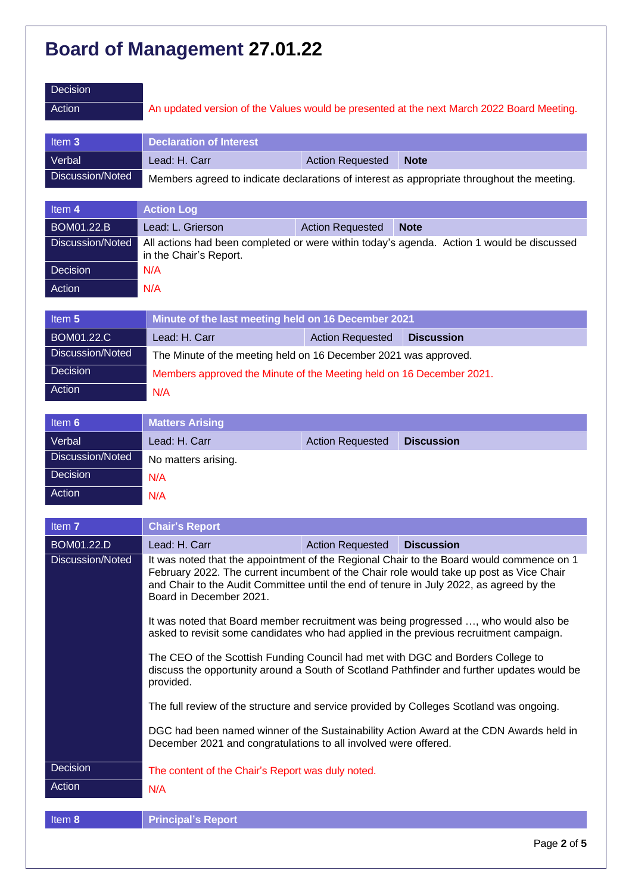| Decision<br>Action |                                |                         | An updated version of the Values would be presented at the next March 2022 Board Meeting.  |
|--------------------|--------------------------------|-------------------------|--------------------------------------------------------------------------------------------|
| Item 3             | <b>Declaration of Interest</b> |                         |                                                                                            |
| Verbal             | Lead: H. Carr                  | <b>Action Requested</b> | <b>Note</b>                                                                                |
| Discussion/Noted   |                                |                         | Members agreed to indicate declarations of interest as appropriate throughout the meeting. |
|                    |                                |                         |                                                                                            |

| Item 4            | <b>Action Log</b>                                                                                                   |                         |             |
|-------------------|---------------------------------------------------------------------------------------------------------------------|-------------------------|-------------|
| <b>BOM01.22.B</b> | Lead: L. Grierson                                                                                                   | <b>Action Requested</b> | <b>Note</b> |
| Discussion/Noted  | All actions had been completed or were within today's agenda. Action 1 would be discussed<br>in the Chair's Report. |                         |             |
| Decision          | N/A                                                                                                                 |                         |             |
| Action            | N/A                                                                                                                 |                         |             |

| Item 5            | Minute of the last meeting held on 16 December 2021                  |                         |                   |
|-------------------|----------------------------------------------------------------------|-------------------------|-------------------|
| <b>BOM01.22.C</b> | Lead: H. Carr                                                        | <b>Action Requested</b> | <b>Discussion</b> |
| Discussion/Noted  | The Minute of the meeting held on 16 December 2021 was approved.     |                         |                   |
| Decision          | Members approved the Minute of the Meeting held on 16 December 2021. |                         |                   |
| Action            | N/A                                                                  |                         |                   |
|                   |                                                                      |                         |                   |

| Item 6           | <b>Matters Arising</b> |                         |                   |
|------------------|------------------------|-------------------------|-------------------|
| Verbal           | Lead: H. Carr          | <b>Action Requested</b> | <b>Discussion</b> |
| Discussion/Noted | No matters arising.    |                         |                   |
| Decision         | N/A                    |                         |                   |
| Action           | N/A                    |                         |                   |

| Item 7            | <b>Chair's Report</b>                                                                                                                                                                                                                                                                                     |                         |                   |  |
|-------------------|-----------------------------------------------------------------------------------------------------------------------------------------------------------------------------------------------------------------------------------------------------------------------------------------------------------|-------------------------|-------------------|--|
| <b>BOM01.22.D</b> | Lead: H. Carr                                                                                                                                                                                                                                                                                             | <b>Action Requested</b> | <b>Discussion</b> |  |
| Discussion/Noted  | It was noted that the appointment of the Regional Chair to the Board would commence on 1<br>February 2022. The current incumbent of the Chair role would take up post as Vice Chair<br>and Chair to the Audit Committee until the end of tenure in July 2022, as agreed by the<br>Board in December 2021. |                         |                   |  |
|                   | It was noted that Board member recruitment was being progressed , who would also be<br>asked to revisit some candidates who had applied in the previous recruitment campaign.                                                                                                                             |                         |                   |  |
|                   | The CEO of the Scottish Funding Council had met with DGC and Borders College to<br>discuss the opportunity around a South of Scotland Pathfinder and further updates would be<br>provided.                                                                                                                |                         |                   |  |
|                   | The full review of the structure and service provided by Colleges Scotland was ongoing.                                                                                                                                                                                                                   |                         |                   |  |
|                   | DGC had been named winner of the Sustainability Action Award at the CDN Awards held in<br>December 2021 and congratulations to all involved were offered.                                                                                                                                                 |                         |                   |  |
| Decision          | The content of the Chair's Report was duly noted.                                                                                                                                                                                                                                                         |                         |                   |  |
| Action            | N/A                                                                                                                                                                                                                                                                                                       |                         |                   |  |
|                   |                                                                                                                                                                                                                                                                                                           |                         |                   |  |
| Item 8            | <b>Principal's Report</b>                                                                                                                                                                                                                                                                                 |                         |                   |  |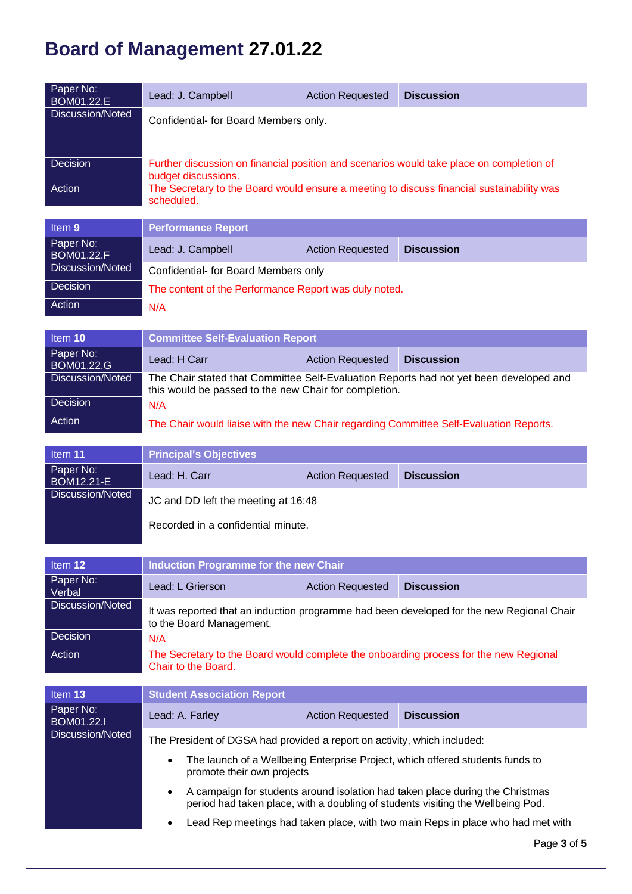| Paper No:<br>BOM01.22.E        | Lead: J. Campbell                                                                                               | <b>Action Requested</b> | <b>Discussion</b> |
|--------------------------------|-----------------------------------------------------------------------------------------------------------------|-------------------------|-------------------|
| Discussion/Noted               | Confidential- for Board Members only.                                                                           |                         |                   |
| Decision                       |                                                                                                                 |                         |                   |
|                                | Further discussion on financial position and scenarios would take place on completion of<br>budget discussions. |                         |                   |
| Action                         | The Secretary to the Board would ensure a meeting to discuss financial sustainability was<br>scheduled.         |                         |                   |
|                                |                                                                                                                 |                         |                   |
| Item 9                         | <b>Performance Report</b>                                                                                       |                         |                   |
| Paper No:<br><b>BOM01.22.F</b> | Lead: J. Campbell                                                                                               | <b>Action Requested</b> | <b>Discussion</b> |
| Discussion/Noted               | Confidential- for Board Members only                                                                            |                         |                   |
| <b>Decision</b>                | The content of the Performance Report was duly noted.                                                           |                         |                   |
| Action                         | N/A                                                                                                             |                         |                   |

| Item $10$               | <b>Committee Self-Evaluation Report</b>                                                                                                         |                         |                                                                                        |
|-------------------------|-------------------------------------------------------------------------------------------------------------------------------------------------|-------------------------|----------------------------------------------------------------------------------------|
| Paper No:<br>BOM01.22.G | Lead: H Carr                                                                                                                                    | <b>Action Requested</b> | <b>Discussion</b>                                                                      |
| Discussion/Noted        | The Chair stated that Committee Self-Evaluation Reports had not yet been developed and<br>this would be passed to the new Chair for completion. |                         |                                                                                        |
| <b>Decision</b>         | N/A                                                                                                                                             |                         |                                                                                        |
| Action                  |                                                                                                                                                 |                         | The Chair would liaise with the new Chair regarding Committee Self-Evaluation Reports. |

| Item 11                        | <b>Principal's Objectives</b>       |                         |                   |
|--------------------------------|-------------------------------------|-------------------------|-------------------|
| Paper No:<br><b>BOM12.21-E</b> | Lead: H. Carr                       | <b>Action Requested</b> | <b>Discussion</b> |
| Discussion/Noted               | JC and DD left the meeting at 16:48 |                         |                   |
|                                | Recorded in a confidential minute.  |                         |                   |

| Item 12             | Induction Programme for the new Chair                                                                                 |                         |                   |
|---------------------|-----------------------------------------------------------------------------------------------------------------------|-------------------------|-------------------|
| Paper No:<br>Verbal | Lead: L Grierson                                                                                                      | <b>Action Requested</b> | <b>Discussion</b> |
| Discussion/Noted    | It was reported that an induction programme had been developed for the new Regional Chair<br>to the Board Management. |                         |                   |
| Decision            | N/A                                                                                                                   |                         |                   |
| Action              | The Secretary to the Board would complete the onboarding process for the new Regional<br>Chair to the Board.          |                         |                   |

| Item 13                        | <b>Student Association Report</b>                                                                                                                                             |                         |                   |
|--------------------------------|-------------------------------------------------------------------------------------------------------------------------------------------------------------------------------|-------------------------|-------------------|
| Paper No:<br><b>BOM01.22.I</b> | Lead: A. Farley                                                                                                                                                               | <b>Action Requested</b> | <b>Discussion</b> |
| Discussion/Noted               | The President of DGSA had provided a report on activity, which included:                                                                                                      |                         |                   |
|                                | The launch of a Wellbeing Enterprise Project, which offered students funds to<br>$\bullet$<br>promote their own projects                                                      |                         |                   |
|                                | A campaign for students around isolation had taken place during the Christmas<br>$\bullet$<br>period had taken place, with a doubling of students visiting the Wellbeing Pod. |                         |                   |
|                                | Lead Rep meetings had taken place, with two main Reps in place who had met with<br>$\bullet$                                                                                  |                         |                   |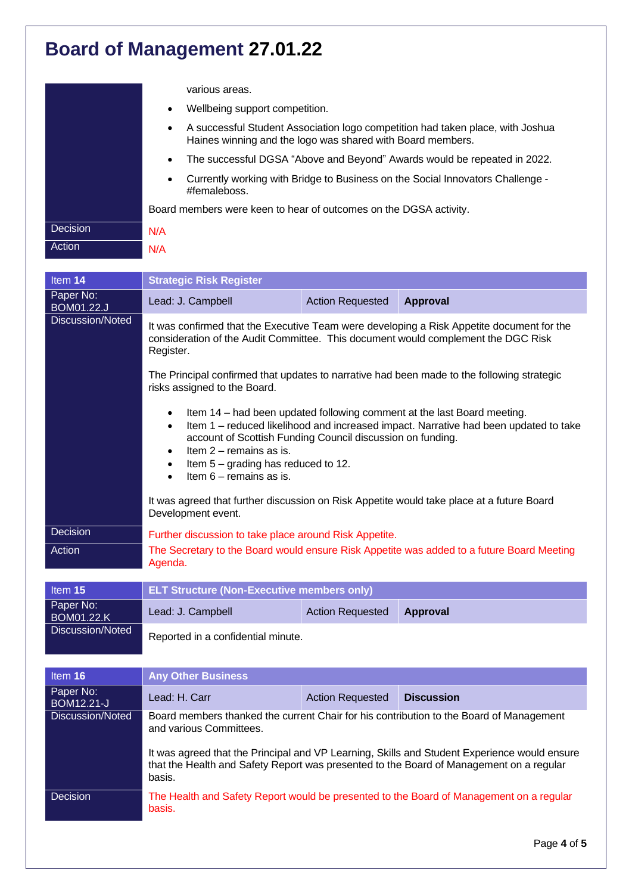|          | various areas.                                                                                                                               |  |  |  |
|----------|----------------------------------------------------------------------------------------------------------------------------------------------|--|--|--|
|          | Wellbeing support competition.<br>٠                                                                                                          |  |  |  |
|          | A successful Student Association logo competition had taken place, with Joshua<br>Haines winning and the logo was shared with Board members. |  |  |  |
|          | The successful DGSA "Above and Beyond" Awards would be repeated in 2022.                                                                     |  |  |  |
|          | Currently working with Bridge to Business on the Social Innovators Challenge -<br>٠<br>#femaleboss.                                          |  |  |  |
|          | Board members were keen to hear of outcomes on the DGSA activity.                                                                            |  |  |  |
| Decision | N/A                                                                                                                                          |  |  |  |
| Action   | N/A                                                                                                                                          |  |  |  |

| Item 14                        | <b>Strategic Risk Register</b>                                                                                                                                                                                                                                                                                                                                                                                                                                                                                                                                                                                                                                                                                                                                                                                                                    |                         |                                                                                         |  |
|--------------------------------|---------------------------------------------------------------------------------------------------------------------------------------------------------------------------------------------------------------------------------------------------------------------------------------------------------------------------------------------------------------------------------------------------------------------------------------------------------------------------------------------------------------------------------------------------------------------------------------------------------------------------------------------------------------------------------------------------------------------------------------------------------------------------------------------------------------------------------------------------|-------------------------|-----------------------------------------------------------------------------------------|--|
| Paper No:<br><b>BOM01.22.J</b> | Lead: J. Campbell                                                                                                                                                                                                                                                                                                                                                                                                                                                                                                                                                                                                                                                                                                                                                                                                                                 | <b>Action Requested</b> | <b>Approval</b>                                                                         |  |
| <b>Discussion/Noted</b>        | It was confirmed that the Executive Team were developing a Risk Appetite document for the<br>consideration of the Audit Committee. This document would complement the DGC Risk<br>Register.<br>The Principal confirmed that updates to narrative had been made to the following strategic<br>risks assigned to the Board.<br>Item 14 - had been updated following comment at the last Board meeting.<br>$\bullet$<br>Item 1 - reduced likelihood and increased impact. Narrative had been updated to take<br>$\bullet$<br>account of Scottish Funding Council discussion on funding.<br>Item $2$ – remains as is.<br>$\bullet$<br>Item $5 -$ grading has reduced to 12.<br>$\bullet$<br>Item $6 -$ remains as is.<br>$\bullet$<br>It was agreed that further discussion on Risk Appetite would take place at a future Board<br>Development event. |                         |                                                                                         |  |
|                                |                                                                                                                                                                                                                                                                                                                                                                                                                                                                                                                                                                                                                                                                                                                                                                                                                                                   |                         |                                                                                         |  |
|                                |                                                                                                                                                                                                                                                                                                                                                                                                                                                                                                                                                                                                                                                                                                                                                                                                                                                   |                         |                                                                                         |  |
|                                |                                                                                                                                                                                                                                                                                                                                                                                                                                                                                                                                                                                                                                                                                                                                                                                                                                                   |                         |                                                                                         |  |
| <b>Decision</b>                | Further discussion to take place around Risk Appetite.                                                                                                                                                                                                                                                                                                                                                                                                                                                                                                                                                                                                                                                                                                                                                                                            |                         |                                                                                         |  |
| Action                         | The Secretary to the Board would ensure Risk Appetite was added to a future Board Meeting<br>Agenda.                                                                                                                                                                                                                                                                                                                                                                                                                                                                                                                                                                                                                                                                                                                                              |                         |                                                                                         |  |
| Item 15                        | <b>ELT Structure (Non-Executive members only)</b>                                                                                                                                                                                                                                                                                                                                                                                                                                                                                                                                                                                                                                                                                                                                                                                                 |                         |                                                                                         |  |
| Paper No:<br><b>BOM01.22.K</b> | Lead: J. Campbell                                                                                                                                                                                                                                                                                                                                                                                                                                                                                                                                                                                                                                                                                                                                                                                                                                 | <b>Action Requested</b> | Approval                                                                                |  |
| Discussion/Noted               | Reported in a confidential minute.                                                                                                                                                                                                                                                                                                                                                                                                                                                                                                                                                                                                                                                                                                                                                                                                                |                         |                                                                                         |  |
| Item 16                        | <b>Any Other Business</b>                                                                                                                                                                                                                                                                                                                                                                                                                                                                                                                                                                                                                                                                                                                                                                                                                         |                         |                                                                                         |  |
| Paper No:<br><b>BOM12.21-J</b> | Lead: H. Carr                                                                                                                                                                                                                                                                                                                                                                                                                                                                                                                                                                                                                                                                                                                                                                                                                                     | <b>Action Requested</b> | <b>Discussion</b>                                                                       |  |
| <b>Discussion/Noted</b>        | Board members thanked the current Chair for his contribution to the Board of Management<br>and various Committees.<br>It was agreed that the Principal and VP Learning, Skills and Student Experience would ensure<br>that the Health and Safety Report was presented to the Board of Management on a regular<br>basis.                                                                                                                                                                                                                                                                                                                                                                                                                                                                                                                           |                         |                                                                                         |  |
|                                |                                                                                                                                                                                                                                                                                                                                                                                                                                                                                                                                                                                                                                                                                                                                                                                                                                                   |                         |                                                                                         |  |
| <b>Decision</b>                |                                                                                                                                                                                                                                                                                                                                                                                                                                                                                                                                                                                                                                                                                                                                                                                                                                                   |                         | The Health and Safety Report would be presented to the Board of Management on a regular |  |